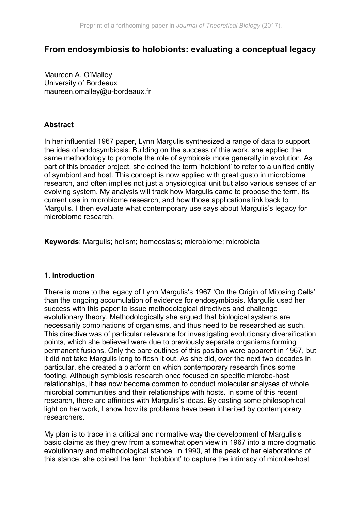# **From endosymbiosis to holobionts: evaluating a conceptual legacy**

Maureen A. O'Malley University of Bordeaux maureen.omalley@u-bordeaux.fr

## **Abstract**

In her influential 1967 paper, Lynn Margulis synthesized a range of data to support the idea of endosymbiosis. Building on the success of this work, she applied the same methodology to promote the role of symbiosis more generally in evolution. As part of this broader project, she coined the term 'holobiont' to refer to a unified entity of symbiont and host. This concept is now applied with great gusto in microbiome research, and often implies not just a physiological unit but also various senses of an evolving system. My analysis will track how Margulis came to propose the term, its current use in microbiome research, and how those applications link back to Margulis. I then evaluate what contemporary use says about Margulis's legacy for microbiome research.

**Keywords**: Margulis; holism; homeostasis; microbiome; microbiota

### **1. Introduction**

There is more to the legacy of Lynn Margulis's 1967 'On the Origin of Mitosing Cells' than the ongoing accumulation of evidence for endosymbiosis. Margulis used her success with this paper to issue methodological directives and challenge evolutionary theory. Methodologically she argued that biological systems are necessarily combinations of organisms, and thus need to be researched as such. This directive was of particular relevance for investigating evolutionary diversification points, which she believed were due to previously separate organisms forming permanent fusions. Only the bare outlines of this position were apparent in 1967, but it did not take Margulis long to flesh it out. As she did, over the next two decades in particular, she created a platform on which contemporary research finds some footing. Although symbiosis research once focused on specific microbe-host relationships, it has now become common to conduct molecular analyses of whole microbial communities and their relationships with hosts. In some of this recent research, there are affinities with Margulis's ideas. By casting some philosophical light on her work, I show how its problems have been inherited by contemporary researchers.

My plan is to trace in a critical and normative way the development of Margulis's basic claims as they grew from a somewhat open view in 1967 into a more dogmatic evolutionary and methodological stance. In 1990, at the peak of her elaborations of this stance, she coined the term 'holobiont' to capture the intimacy of microbe-host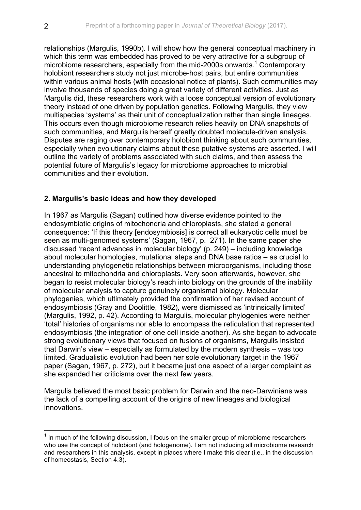relationships (Margulis, 1990b). I will show how the general conceptual machinery in which this term was embedded has proved to be very attractive for a subgroup of microbiome researchers, especially from the mid-2000s onwards.<sup>1</sup> Contemporary holobiont researchers study not just microbe-host pairs, but entire communities within various animal hosts (with occasional notice of plants). Such communities may involve thousands of species doing a great variety of different activities. Just as Margulis did, these researchers work with a loose conceptual version of evolutionary theory instead of one driven by population genetics. Following Margulis, they view multispecies 'systems' as their unit of conceptualization rather than single lineages. This occurs even though microbiome research relies heavily on DNA snapshots of such communities, and Margulis herself greatly doubted molecule-driven analysis. Disputes are raging over contemporary holobiont thinking about such communities, especially when evolutionary claims about these putative systems are asserted. I will outline the variety of problems associated with such claims, and then assess the potential future of Margulis's legacy for microbiome approaches to microbial communities and their evolution.

## **2. Margulis's basic ideas and how they developed**

In 1967 as Margulis (Sagan) outlined how diverse evidence pointed to the endosymbiotic origins of mitochondria and chloroplasts, she stated a general consequence: 'If this theory [endosymbiosis] is correct all eukaryotic cells must be seen as multi-genomed systems' (Sagan, 1967, p. 271). In the same paper she discussed 'recent advances in molecular biology' (p. 249) – including knowledge about molecular homologies, mutational steps and DNA base ratios – as crucial to understanding phylogenetic relationships between microorganisms, including those ancestral to mitochondria and chloroplasts. Very soon afterwards, however, she began to resist molecular biology's reach into biology on the grounds of the inability of molecular analysis to capture genuinely organismal biology. Molecular phylogenies, which ultimately provided the confirmation of her revised account of endosymbiosis (Gray and Doolittle, 1982), were dismissed as 'intrinsically limited' (Margulis, 1992, p. 42). According to Margulis, molecular phylogenies were neither 'total' histories of organisms nor able to encompass the reticulation that represented endosymbiosis (the integration of one cell inside another). As she began to advocate strong evolutionary views that focused on fusions of organisms, Margulis insisted that Darwin's view – especially as formulated by the modern synthesis – was too limited. Gradualistic evolution had been her sole evolutionary target in the 1967 paper (Sagan, 1967, p. 272), but it became just one aspect of a larger complaint as she expanded her criticisms over the next few years.

Margulis believed the most basic problem for Darwin and the neo-Darwinians was the lack of a compelling account of the origins of new lineages and biological innovations.

 $1$  In much of the following discussion, I focus on the smaller group of microbiome researchers who use the concept of holobiont (and hologenome). I am not including all microbiome research and researchers in this analysis, except in places where I make this clear (i.e., in the discussion of homeostasis, Section 4.3).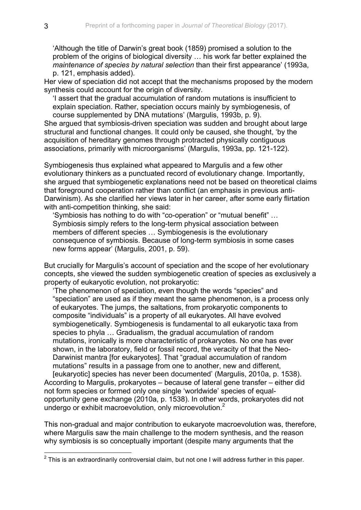'Although the title of Darwin's great book (1859) promised a solution to the problem of the origins of biological diversity … his work far better explained the *maintenance of species by natural selection* than their first appearance' (1993a, p. 121, emphasis added).

Her view of speciation did not accept that the mechanisms proposed by the modern synthesis could account for the origin of diversity.

'I assert that the gradual accumulation of random mutations is insufficient to explain speciation. Rather, speciation occurs mainly by symbiogenesis, of course supplemented by DNA mutations' (Margulis, 1993b, p. 9).

She argued that symbiosis-driven speciation was sudden and brought about large structural and functional changes. It could only be caused, she thought, 'by the acquisition of hereditary genomes through protracted physically contiguous associations, primarily with microorganisms' (Margulis, 1993a, pp. 121-122).

Symbiogenesis thus explained what appeared to Margulis and a few other evolutionary thinkers as a punctuated record of evolutionary change. Importantly, she argued that symbiogenetic explanations need not be based on theoretical claims that foreground cooperation rather than conflict (an emphasis in previous anti-Darwinism). As she clarified her views later in her career, after some early flirtation with anti-competition thinking, she said:

'Symbiosis has nothing to do with "co-operation" or "mutual benefit" … Symbiosis simply refers to the long-term physical association between members of different species … Symbiogenesis is the evolutionary consequence of symbiosis. Because of long-term symbiosis in some cases new forms appear' (Margulis, 2001, p. 59).

But crucially for Margulis's account of speciation and the scope of her evolutionary concepts, she viewed the sudden symbiogenetic creation of species as exclusively a property of eukaryotic evolution, not prokaryotic:

'The phenomenon of speciation, even though the words "species" and "speciation" are used as if they meant the same phenomenon, is a process only of eukaryotes. The jumps, the saltations, from prokaryotic components to composite "individuals" is a property of all eukaryotes. All have evolved symbiogenetically. Symbiogenesis is fundamental to all eukaryotic taxa from species to phyla … Gradualism, the gradual accumulation of random mutations, ironically is more characteristic of prokaryotes. No one has ever shown, in the laboratory, field or fossil record, the veracity of that the Neo-Darwinist mantra [for eukaryotes]. That "gradual accumulation of random mutations" results in a passage from one to another, new and different,

[eukaryotic] species has never been documented' (Margulis, 2010a, p. 1538). According to Margulis, prokaryotes – because of lateral gene transfer – either did not form species or formed only one single 'worldwide' species of equalopportunity gene exchange (2010a, p. 1538). In other words, prokaryotes did not undergo or exhibit macroevolution, only microevolution.<sup>2</sup>

This non-gradual and major contribution to eukaryote macroevolution was, therefore, where Margulis saw the main challenge to the modern synthesis, and the reason why symbiosis is so conceptually important (despite many arguments that the

 $2$  This is an extraordinarily controversial claim, but not one I will address further in this paper.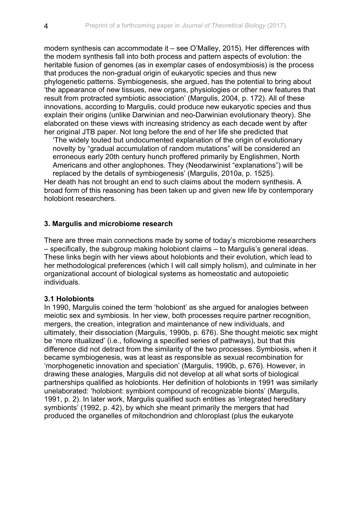modern synthesis can accommodate it – see O'Malley, 2015). Her differences with the modern synthesis fall into both process and pattern aspects of evolution: the heritable fusion of genomes (as in exemplar cases of endosymbiosis) is the process that produces the non-gradual origin of eukaryotic species and thus new phylogenetic patterns. Symbiogenesis, she argued, has the potential to bring about 'the appearance of new tissues, new organs, physiologies or other new features that result from protracted symbiotic association' (Margulis, 2004, p. 172). All of these innovations, according to Margulis, could produce new eukaryotic species and thus explain their origins (unlike Darwinian and neo-Darwinian evolutionary theory). She elaborated on these views with increasing stridency as each decade went by after her original JTB paper. Not long before the end of her life she predicted that

'The widely touted but undocumented explanation of the origin of evolutionary novelty by "gradual accumulation of random mutations" will be considered an erroneous early 20th century hunch proffered primarily by Englishmen, North Americans and other anglophones. They (Neodarwinist "explanations") will be replaced by the details of symbiogenesis' (Margulis, 2010a, p. 1525).

Her death has not brought an end to such claims about the modern synthesis. A broad form of this reasoning has been taken up and given new life by contemporary holobiont researchers.

### **3. Margulis and microbiome research**

There are three main connections made by some of today's microbiome researchers – specifically, the subgroup making holobiont claims – to Margulis's general ideas. These links begin with her views about holobionts and their evolution, which lead to her methodological preferences (which I will call simply holism), and culminate in her organizational account of biological systems as homeostatic and autopoietic individuals.

#### **3.1 Holobionts**

In 1990, Margulis coined the term 'holobiont' as she argued for analogies between meiotic sex and symbiosis. In her view, both processes require partner recognition, mergers, the creation, integration and maintenance of new individuals, and ultimately, their dissociation (Margulis, 1990b, p. 676). She thought meiotic sex might be 'more ritualized' (i.e., following a specified series of pathways), but that this difference did not detract from the similarity of the two processes. Symbiosis, when it became symbiogenesis, was at least as responsible as sexual recombination for 'morphogenetic innovation and speciation' (Margulis, 1990b, p. 676). However, in drawing these analogies, Margulis did not develop at all what sorts of biological partnerships qualified as holobionts. Her definition of holobionts in 1991 was similarly unelaborated: 'holobiont: symbiont compound of recognizable bionts' (Margulis, 1991, p. 2). In later work, Margulis qualified such entities as 'integrated hereditary symbionts' (1992, p. 42), by which she meant primarily the mergers that had produced the organelles of mitochondrion and chloroplast (plus the eukaryote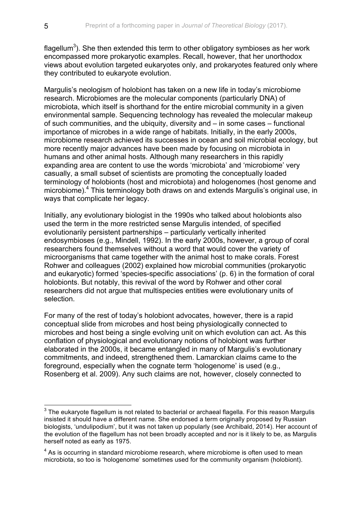flagellum $^3$ ). She then extended this term to other obligatory symbioses as her work encompassed more prokaryotic examples. Recall, however, that her unorthodox views about evolution targeted eukaryotes only, and prokaryotes featured only where they contributed to eukaryote evolution.

Margulis's neologism of holobiont has taken on a new life in today's microbiome research. Microbiomes are the molecular components (particularly DNA) of microbiota, which itself is shorthand for the entire microbial community in a given environmental sample. Sequencing technology has revealed the molecular makeup of such communities, and the ubiquity, diversity and – in some cases – functional importance of microbes in a wide range of habitats. Initially, in the early 2000s, microbiome research achieved its successes in ocean and soil microbial ecology, but more recently major advances have been made by focusing on microbiota in humans and other animal hosts. Although many researchers in this rapidly expanding area are content to use the words 'microbiota' and 'microbiome' very casually, a small subset of scientists are promoting the conceptually loaded terminology of holobionts (host and microbiota) and hologenomes (host genome and microbiome).<sup>4</sup> This terminology both draws on and extends Margulis's original use, in ways that complicate her legacy.

Initially, any evolutionary biologist in the 1990s who talked about holobionts also used the term in the more restricted sense Margulis intended, of specified evolutionarily persistent partnerships – particularly vertically inherited endosymbioses (e.g., Mindell, 1992). In the early 2000s, however, a group of coral researchers found themselves without a word that would cover the variety of microorganisms that came together with the animal host to make corals. Forest Rohwer and colleagues (2002) explained how microbial communities (prokaryotic and eukaryotic) formed 'species-specific associations' (p. 6) in the formation of coral holobionts. But notably, this revival of the word by Rohwer and other coral researchers did not argue that multispecies entities were evolutionary units of selection.

For many of the rest of today's holobiont advocates, however, there is a rapid conceptual slide from microbes and host being physiologically connected to microbes and host being a single evolving unit on which evolution can act. As this conflation of physiological and evolutionary notions of holobiont was further elaborated in the 2000s, it became entangled in many of Margulis's evolutionary commitments, and indeed, strengthened them. Lamarckian claims came to the foreground, especially when the cognate term 'hologenome' is used (e.g., Rosenberg et al. 2009). Any such claims are not, however, closely connected to

 $3$  The eukaryote flagellum is not related to bacterial or archaeal flagella. For this reason Margulis insisted it should have a different name. She endorsed a term originally proposed by Russian biologists, 'undulipodium', but it was not taken up popularly (see Archibald, 2014). Her account of the evolution of the flagellum has not been broadly accepted and nor is it likely to be, as Margulis herself noted as early as 1975.

 $4$  As is occurring in standard microbiome research, where microbiome is often used to mean microbiota, so too is 'hologenome' sometimes used for the community organism (holobiont).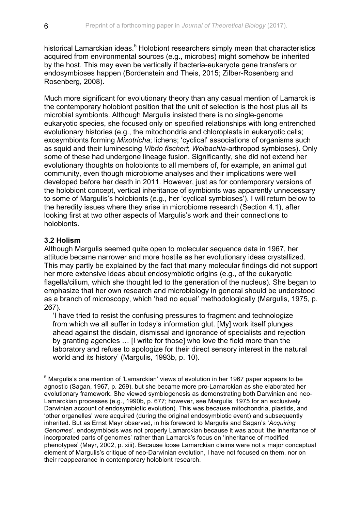historical Lamarckian ideas.<sup>5</sup> Holobiont researchers simply mean that characteristics acquired from environmental sources (e.g., microbes) might somehow be inherited by the host. This may even be vertically if bacteria-eukaryote gene transfers or endosymbioses happen (Bordenstein and Theis, 2015; Zilber-Rosenberg and Rosenberg, 2008).

Much more significant for evolutionary theory than any casual mention of Lamarck is the contemporary holobiont position that the unit of selection is the host plus all its microbial symbionts. Although Margulis insisted there is no single-genome eukaryotic species, she focused only on specified relationships with long entrenched evolutionary histories (e.g., the mitochondria and chloroplasts in eukaryotic cells; exosymbionts forming *Mixotricha*; lichens; 'cyclical' associations of organisms such as squid and their luminescing *Vibrio fischeri*; *Wolbachia*-arthropod symbioses). Only some of these had undergone lineage fusion. Significantly, she did not extend her evolutionary thoughts on holobionts to all members of, for example, an animal gut community, even though microbiome analyses and their implications were well developed before her death in 2011. However, just as for contemporary versions of the holobiont concept, vertical inheritance of symbionts was apparently unnecessary to some of Margulis's holobionts (e.g., her 'cyclical symbioses'). I will return below to the heredity issues where they arise in microbiome research (Section 4.1), after looking first at two other aspects of Margulis's work and their connections to holobionts.

## **3.2 Holism**

Although Margulis seemed quite open to molecular sequence data in 1967, her attitude became narrower and more hostile as her evolutionary ideas crystallized. This may partly be explained by the fact that many molecular findings did not support her more extensive ideas about endosymbiotic origins (e.g., of the eukaryotic flagella/cilium, which she thought led to the generation of the nucleus). She began to emphasize that her own research and microbiology in general should be understood as a branch of microscopy, which 'had no equal' methodologically (Margulis, 1975, p. 267).

'I have tried to resist the confusing pressures to fragment and technologize from which we all suffer in today's information glut. [My] work itself plunges ahead against the disdain, dismissal and ignorance of specialists and rejection by granting agencies … [I write for those] who love the field more than the laboratory and refuse to apologize for their direct sensory interest in the natural world and its history' (Margulis, 1993b, p. 10).

<sup>&</sup>lt;sup>5</sup> Margulis's one mention of 'Lamarckian' views of evolution in her 1967 paper appears to be agnostic (Sagan, 1967, p. 269), but she became more pro-Lamarckian as she elaborated her evolutionary framework. She viewed symbiogenesis as demonstrating both Darwinian and neo-Lamarckian processes (e.g., 1990b, p. 677; however, see Margulis, 1975 for an exclusively Darwinian account of endosymbiotic evolution). This was because mitochondria, plastids, and 'other organelles' were acquired (during the original endosymbiotic event) and subsequently inherited. But as Ernst Mayr observed, in his foreword to Margulis and Sagan's '*Acquiring Genomes*', endosymbiosis was not properly Lamarckian because it was about 'the inheritance of incorporated parts of genomes' rather than Lamarck's focus on 'inheritance of modified phenotypes' (Mayr, 2002, p. xiii). Because loose Lamarckian claims were not a major conceptual element of Margulis's critique of neo-Darwinian evolution, I have not focused on them, nor on their reappearance in contemporary holobiont research.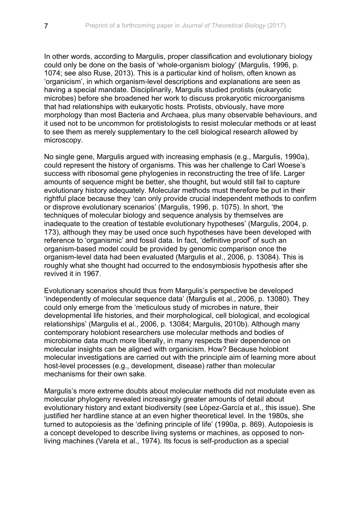In other words, according to Margulis, proper classification and evolutionary biology could only be done on the basis of 'whole-organism biology' (Margulis, 1996, p. 1074; see also Ruse, 2013). This is a particular kind of holism, often known as 'organicism', in which organism-level descriptions and explanations are seen as having a special mandate. Disciplinarily, Margulis studied protists (eukaryotic microbes) before she broadened her work to discuss prokaryotic microorganisms that had relationships with eukaryotic hosts. Protists, obviously, have more morphology than most Bacteria and Archaea, plus many observable behaviours, and it used not to be uncommon for protistologists to resist molecular methods or at least to see them as merely supplementary to the cell biological research allowed by microscopy.

No single gene, Margulis argued with increasing emphasis (e.g., Margulis, 1990a), could represent the history of organisms. This was her challenge to Carl Woese's success with ribosomal gene phylogenies in reconstructing the tree of life. Larger amounts of sequence might be better, she thought, but would still fail to capture evolutionary history adequately. Molecular methods must therefore be put in their rightful place because they 'can only provide crucial independent methods to confirm or disprove evolutionary scenarios' (Margulis, 1996, p. 1075). In short, 'the techniques of molecular biology and sequence analysis by themselves are inadequate to the creation of testable evolutionary hypotheses' (Margulis, 2004, p. 173), although they may be used once such hypotheses have been developed with reference to 'organismic' and fossil data. In fact, 'definitive proof' of such an organism-based model could be provided by genomic comparison once the organism-level data had been evaluated (Margulis et al., 2006, p. 13084). This is roughly what she thought had occurred to the endosymbiosis hypothesis after she revived it in 1967.

Evolutionary scenarios should thus from Margulis's perspective be developed 'independently of molecular sequence data' (Margulis et al., 2006, p. 13080). They could only emerge from the 'meticulous study of microbes in nature, their developmental life histories, and their morphological, cell biological, and ecological relationships' (Margulis et al., 2006, p. 13084; Margulis, 2010b). Although many contemporary holobiont researchers use molecular methods and bodies of microbiome data much more liberally, in many respects their dependence on molecular insights can be aligned with organicism. How? Because holobiont molecular investigations are carried out with the principle aim of learning more about host-level processes (e.g., development, disease) rather than molecular mechanisms for their own sake.

Margulis's more extreme doubts about molecular methods did not modulate even as molecular phylogeny revealed increasingly greater amounts of detail about evolutionary history and extant biodiversity (see López-García et al., this issue). She justified her hardline stance at an even higher theoretical level. In the 1980s, she turned to autopoiesis as the 'defining principle of life' (1990a, p. 869). Autopoiesis is a concept developed to describe living systems or machines, as opposed to nonliving machines (Varela et al., 1974). Its focus is self-production as a special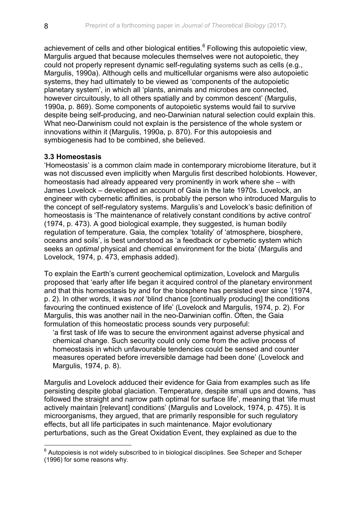achievement of cells and other biological entities.<sup>6</sup> Following this autopoietic view, Margulis argued that because molecules themselves were not autopoietic, they could not properly represent dynamic self-regulating systems such as cells (e.g., Margulis, 1990a). Although cells and multicellular organisms were also autopoietic systems, they had ultimately to be viewed as 'components of the autopoietic planetary system', in which all 'plants, animals and microbes are connected, however circuitously, to all others spatially and by common descent' (Margulis, 1990a, p. 869). Some components of autopoietic systems would fail to survive despite being self-producing, and neo-Darwinian natural selection could explain this. What neo-Darwinism could not explain is the persistence of the whole system or innovations within it (Margulis, 1990a, p. 870). For this autopoiesis and symbiogenesis had to be combined, she believed.

### **3.3 Homeostasis**

'Homeostasis' is a common claim made in contemporary microbiome literature, but it was not discussed even implicitly when Margulis first described holobionts. However, homeostasis had already appeared very prominently in work where she – with James Lovelock – developed an account of Gaia in the late 1970s. Lovelock, an engineer with cybernetic affinities, is probably the person who introduced Margulis to the concept of self-regulatory systems. Margulis's and Lovelock's basic definition of homeostasis is 'The maintenance of relatively constant conditions by active control' (1974, p. 473). A good biological example, they suggested, is human bodily regulation of temperature. Gaia, the complex 'totality' of 'atmosphere, biosphere, oceans and soils', is best understood as 'a feedback or cybernetic system which seeks an *optimal* physical and chemical environment for the biota' (Margulis and Lovelock, 1974, p. 473, emphasis added).

To explain the Earth's current geochemical optimization, Lovelock and Margulis proposed that 'early after life began it acquired control of the planetary environment and that this homeostasis by and for the biosphere has persisted ever since '(1974, p. 2). In other words, it was *not* 'blind chance [continually producing] the conditions favouring the continued existence of life' (Lovelock and Margulis, 1974, p. 2). For Margulis, this was another nail in the neo-Darwinian coffin. Often, the Gaia formulation of this homeostatic process sounds very purposeful:

'a first task of life was to secure the environment against adverse physical and chemical change. Such security could only come from the active process of homeostasis in which unfavourable tendencies could be sensed and counter measures operated before irreversible damage had been done' (Lovelock and Margulis, 1974, p. 8).

Margulis and Lovelock adduced their evidence for Gaia from examples such as life persisting despite global glaciation. Temperature, despite small ups and downs, 'has followed the straight and narrow path optimal for surface life', meaning that 'life must actively maintain [relevant] conditions' (Margulis and Lovelock, 1974, p. 475). It is microorganisms, they argued, that are primarily responsible for such regulatory effects, but all life participates in such maintenance. Major evolutionary perturbations, such as the Great Oxidation Event, they explained as due to the

 $6$  Autopoiesis is not widely subscribed to in biological disciplines. See Scheper and Scheper (1996) for some reasons why.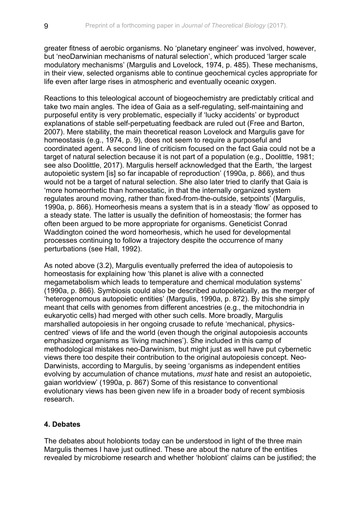greater fitness of aerobic organisms. No 'planetary engineer' was involved, however, but 'neoDarwinian mechanisms of natural selection', which produced 'larger scale modulatory mechanisms' (Margulis and Lovelock, 1974, p. 485). These mechanisms, in their view, selected organisms able to continue geochemical cycles appropriate for life even after large rises in atmospheric and eventually oceanic oxygen.

Reactions to this teleological account of biogeochemistry are predictably critical and take two main angles. The idea of Gaia as a self-regulating, self-maintaining and purposeful entity is very problematic, especially if 'lucky accidents' or byproduct explanations of stable self-perpetuating feedback are ruled out (Free and Barton, 2007). Mere stability, the main theoretical reason Lovelock and Margulis gave for homeostasis (e.g., 1974, p. 9), does not seem to require a purposeful and coordinated agent. A second line of criticism focused on the fact Gaia could not be a target of natural selection because it is not part of a population (e.g., Doolittle, 1981; see also Doolittle, 2017). Margulis herself acknowledged that the Earth, 'the largest autopoietic system [is] so far incapable of reproduction' (1990a, p. 866), and thus would not be a target of natural selection. She also later tried to clarify that Gaia is 'more homeorrhetic than homeostatic, in that the internally organized system regulates around moving, rather than fixed-from-the-outside, setpoints' (Margulis, 1990a, p. 866). Homeorhesis means a system that is in a steady 'flow' as opposed to a steady state. The latter is usually the definition of homeostasis; the former has often been argued to be more appropriate for organisms. Geneticist Conrad Waddington coined the word homeorhesis, which he used for developmental processes continuing to follow a trajectory despite the occurrence of many perturbations (see Hall, 1992).

As noted above (3.2), Margulis eventually preferred the idea of autopoiesis to homeostasis for explaining how 'this planet is alive with a connected megametabolism which leads to temperature and chemical modulation systems' (1990a, p. 866). Symbiosis could also be described autopoietically, as the merger of 'heterogenomous autopoietic entities' (Margulis, 1990a, p. 872). By this she simply meant that cells with genomes from different ancestries (e.g., the mitochondria in eukaryotic cells) had merged with other such cells. More broadly, Margulis marshalled autopoiesis in her ongoing crusade to refute 'mechanical, physicscentred' views of life and the world (even though the original autopoiesis accounts emphasized organisms as 'living machines'). She included in this camp of methodological mistakes neo-Darwinism, but might just as well have put cybernetic views there too despite their contribution to the original autopoiesis concept. Neo-Darwinists, according to Margulis, by seeing 'organisms as independent entities evolving by accumulation of chance mutations, *must* hate and resist an autopoietic, gaian worldview' (1990a, p. 867) Some of this resistance to conventional evolutionary views has been given new life in a broader body of recent symbiosis research.

# **4. Debates**

The debates about holobionts today can be understood in light of the three main Margulis themes I have just outlined. These are about the nature of the entities revealed by microbiome research and whether 'holobiont' claims can be justified; the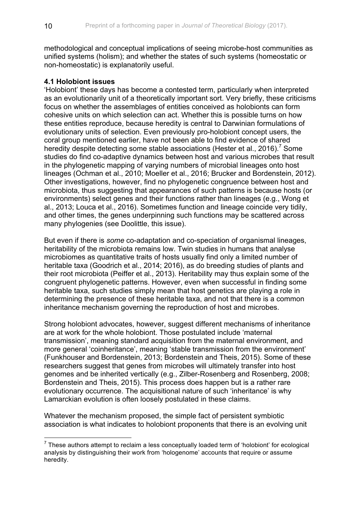methodological and conceptual implications of seeing microbe-host communities as unified systems (holism); and whether the states of such systems (homeostatic or non-homeostatic) is explanatorily useful.

### **4.1 Holobiont issues**

'Holobiont' these days has become a contested term, particularly when interpreted as an evolutionarily unit of a theoretically important sort. Very briefly, these criticisms focus on whether the assemblages of entities conceived as holobionts can form cohesive units on which selection can act. Whether this is possible turns on how these entities reproduce, because heredity is central to Darwinian formulations of evolutionary units of selection. Even previously pro-holobiont concept users, the coral group mentioned earlier, have not been able to find evidence of shared heredity despite detecting some stable associations (Hester et al., 2016).<sup>7</sup> Some studies do find co-adaptive dynamics between host and various microbes that result in the phylogenetic mapping of varying numbers of microbial lineages onto host lineages (Ochman et al., 2010; Moeller et al., 2016; Brucker and Bordenstein, 2012). Other investigations, however, find no phylogenetic congruence between host and microbiota, thus suggesting that appearances of such patterns is because hosts (or environments) select genes and their functions rather than lineages (e.g., Wong et al., 2013; Louca et al., 2016). Sometimes function and lineage coincide very tidily, and other times, the genes underpinning such functions may be scattered across many phylogenies (see Doolittle, this issue).

But even if there is *some* co-adaptation and co-speciation of organismal lineages, heritability of the microbiota remains low. Twin studies in humans that analyse microbiomes as quantitative traits of hosts usually find only a limited number of heritable taxa (Goodrich et al., 2014; 2016), as do breeding studies of plants and their root microbiota (Peiffer et al., 2013). Heritability may thus explain some of the congruent phylogenetic patterns. However, even when successful in finding some heritable taxa, such studies simply mean that host genetics are playing a role in determining the presence of these heritable taxa, and not that there is a common inheritance mechanism governing the reproduction of host and microbes.

Strong holobiont advocates, however, suggest different mechanisms of inheritance are at work for the whole holobiont. Those postulated include 'maternal transmission', meaning standard acquisition from the maternal environment, and more general 'coinheritance', meaning 'stable transmission from the environment' (Funkhouser and Bordenstein, 2013; Bordenstein and Theis, 2015). Some of these researchers suggest that genes from microbes will ultimately transfer into host genomes and be inherited vertically (e.g., Zilber-Rosenberg and Rosenberg, 2008; Bordenstein and Theis, 2015). This process does happen but is a rather rare evolutionary occurrence. The acquisitional nature of such 'inheritance' is why Lamarckian evolution is often loosely postulated in these claims.

Whatever the mechanism proposed, the simple fact of persistent symbiotic association is what indicates to holobiont proponents that there is an evolving unit

 $7$  These authors attempt to reclaim a less conceptually loaded term of 'holobiont' for ecological analysis by distinguishing their work from 'hologenome' accounts that require or assume heredity.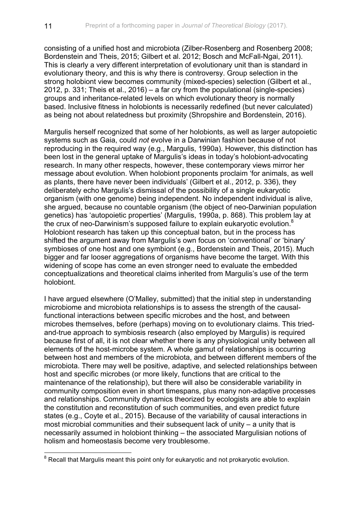consisting of a unified host and microbiota (Zilber-Rosenberg and Rosenberg 2008; Bordenstein and Theis, 2015; Gilbert et al. 2012; Bosch and McFall-Ngai, 2011). This is clearly a very different interpretation of evolutionary unit than is standard in evolutionary theory, and this is why there is controversy. Group selection in the strong holobiont view becomes community (mixed-species) selection (Gilbert et al., 2012, p. 331; Theis et al., 2016) – a far cry from the populational (single-species) groups and inheritance-related levels on which evolutionary theory is normally based. Inclusive fitness in holobionts is necessarily redefined (but never calculated) as being not about relatedness but proximity (Shropshire and Bordenstein, 2016).

Margulis herself recognized that some of her holobionts, as well as larger autopoietic systems such as Gaia, could *not* evolve in a Darwinian fashion because of not reproducing in the required way (e.g., Margulis, 1990a). However, this distinction has been lost in the general uptake of Margulis's ideas in today's holobiont-advocating research. In many other respects, however, these contemporary views mirror her message about evolution. When holobiont proponents proclaim 'for animals, as well as plants, there have never been individuals' (Gilbert et al., 2012, p. 336), they deliberately echo Margulis's dismissal of the possibility of a single eukaryotic organism (with one genome) being independent. No independent individual is alive, she argued, because no countable organism (the object of neo-Darwinian population genetics) has 'autopoietic properties' (Margulis, 1990a, p. 868). This problem lay at the crux of neo-Darwinism's supposed failure to explain eukaryotic evolution.8 Holobiont research has taken up this conceptual baton, but in the process has shifted the argument away from Margulis's own focus on 'conventional' or 'binary' symbioses of one host and one symbiont (e.g., Bordenstein and Theis, 2015). Much bigger and far looser aggregations of organisms have become the target. With this widening of scope has come an even stronger need to evaluate the embedded conceptualizations and theoretical claims inherited from Margulis's use of the term holobiont.

I have argued elsewhere (O'Malley, submitted) that the initial step in understanding microbiome and microbiota relationships is to assess the strength of the causalfunctional interactions between specific microbes and the host, and between microbes themselves, before (perhaps) moving on to evolutionary claims. This triedand-true approach to symbiosis research (also employed by Margulis) is required because first of all, it is not clear whether there is any physiological unity between all elements of the host-microbe system. A whole gamut of relationships is occurring between host and members of the microbiota, and between different members of the microbiota. There may well be positive, adaptive, and selected relationships between host and specific microbes (or more likely, functions that are critical to the maintenance of the relationship), but there will also be considerable variability in community composition even in short timespans, plus many non-adaptive processes and relationships. Community dynamics theorized by ecologists are able to explain the constitution and reconstitution of such communities, and even predict future states (e.g., Coyte et al., 2015). Because of the variability of causal interactions in most microbial communities and their subsequent lack of unity – a unity that is necessarily assumed in holobiont thinking – the associated Margulisian notions of holism and homeostasis become very troublesome.

 $8$  Recall that Margulis meant this point only for eukaryotic and not prokaryotic evolution.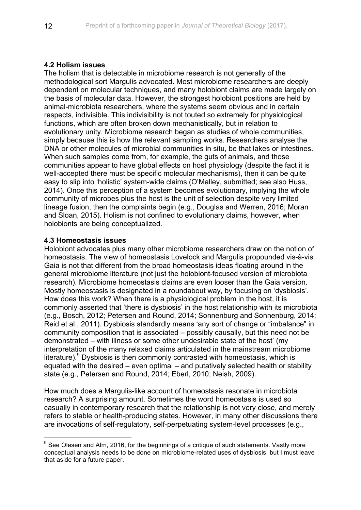## **4.2 Holism issues**

The holism that is detectable in microbiome research is not generally of the methodological sort Margulis advocated. Most microbiome researchers are deeply dependent on molecular techniques, and many holobiont claims are made largely on the basis of molecular data. However, the strongest holobiont positions are held by animal-microbiota researchers, where the systems seem obvious and in certain respects, indivisible. This indivisibility is not touted so extremely for physiological functions, which are often broken down mechanistically, but in relation to evolutionary unity. Microbiome research began as studies of whole communities, simply because this is how the relevant sampling works. Researchers analyse the DNA or other molecules of microbial communities in situ, be that lakes or intestines. When such samples come from, for example, the guts of animals, and those communities appear to have global effects on host physiology (despite the fact it is well-accepted there must be specific molecular mechanisms), then it can be quite easy to slip into 'holistic' system-wide claims (O'Malley, submitted; see also Huss, 2014). Once this perception of a system becomes evolutionary, implying the whole community of microbes plus the host is the unit of selection despite very limited lineage fusion, then the complaints begin (e.g., Douglas and Werren, 2016; Moran and Sloan, 2015). Holism is not confined to evolutionary claims, however, when holobionts are being conceptualized.

### **4.3 Homeostasis issues**

Holobiont advocates plus many other microbiome researchers draw on the notion of homeostasis. The view of homeostasis Lovelock and Margulis propounded vis-à-vis Gaia is not that different from the broad homeostasis ideas floating around in the general microbiome literature (not just the holobiont-focused version of microbiota research). Microbiome homeostasis claims are even looser than the Gaia version. Mostly homeostasis is designated in a roundabout way, by focusing on 'dysbiosis'. How does this work? When there is a physiological problem in the host, it is commonly asserted that 'there is dysbiosis' in the host relationship with its microbiota (e.g., Bosch, 2012; Petersen and Round, 2014; Sonnenburg and Sonnenburg, 2014; Reid et al., 2011). Dysbiosis standardly means 'any sort of change or "imbalance" in community composition that is associated – possibly causally, but this need not be demonstrated – with illness or some other undesirable state of the host' (my interpretation of the many relaxed claims articulated in the mainstream microbiome literature). $9$  Dysbiosis is then commonly contrasted with homeostasis, which is equated with the desired – even optimal – and putatively selected health or stability state (e.g., Petersen and Round, 2014; Eberl, 2010; Neish, 2009).

How much does a Margulis-like account of homeostasis resonate in microbiota research? A surprising amount. Sometimes the word homeostasis is used so casually in contemporary research that the relationship is not very close, and merely refers to stable or health-producing states. However, in many other discussions there are invocations of self-regulatory, self-perpetuating system-level processes (e.g.,

 $9$  See Olesen and Alm, 2016, for the beginnings of a critique of such statements. Vastly more conceptual analysis needs to be done on microbiome-related uses of dysbiosis, but I must leave that aside for a future paper.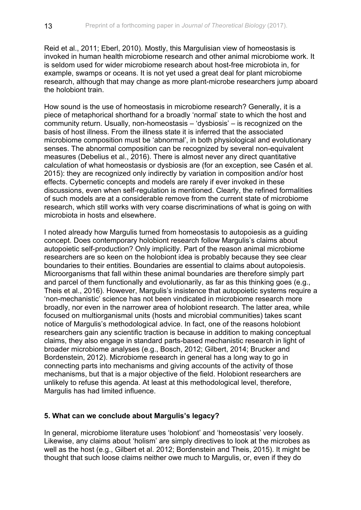Reid et al., 2011; Eberl, 2010). Mostly, this Margulisian view of homeostasis is invoked in human health microbiome research and other animal microbiome work. It is seldom used for wider microbiome research about host-free microbiota in, for example, swamps or oceans. It is not yet used a great deal for plant microbiome research, although that may change as more plant-microbe researchers jump aboard the holobiont train.

How sound is the use of homeostasis in microbiome research? Generally, it is a piece of metaphorical shorthand for a broadly 'normal' state to which the host and community return. Usually, non-homeostasis – 'dysbiosis' – is recognized on the basis of host illness. From the illness state it is inferred that the associated microbiome composition must be 'abnormal', in both physiological and evolutionary senses. The abnormal composition can be recognized by several non-equivalent measures (Debelius et al., 2016). There is almost never any direct quantitative calculation of what homeostasis or dysbiosis are (for an exception, see Casén et al. 2015): they are recognized only indirectly by variation in composition and/or host effects. Cybernetic concepts and models are rarely if ever invoked in these discussions, even when self-regulation is mentioned. Clearly, the refined formalities of such models are at a considerable remove from the current state of microbiome research, which still works with very coarse discriminations of what is going on with microbiota in hosts and elsewhere.

I noted already how Margulis turned from homeostasis to autopoiesis as a guiding concept. Does contemporary holobiont research follow Margulis's claims about autopoietic self-production? Only implicitly. Part of the reason animal microbiome researchers are so keen on the holobiont idea is probably because they see clear boundaries to their entities. Boundaries are essential to claims about autopoiesis. Microorganisms that fall within these animal boundaries are therefore simply part and parcel of them functionally and evolutionarily, as far as this thinking goes (e.g., Theis et al., 2016). However, Margulis's insistence that autopoietic systems require a 'non-mechanistic' science has not been vindicated in microbiome research more broadly, nor even in the narrower area of holobiont research. The latter area, while focused on multiorganismal units (hosts and microbial communities) takes scant notice of Margulis's methodological advice. In fact, one of the reasons holobiont researchers gain any scientific traction is because in addition to making conceptual claims, they also engage in standard parts-based mechanistic research in light of broader microbiome analyses (e.g., Bosch, 2012; Gilbert, 2014; Brucker and Bordenstein, 2012). Microbiome research in general has a long way to go in connecting parts into mechanisms and giving accounts of the activity of those mechanisms, but that is a major objective of the field. Holobiont researchers are unlikely to refuse this agenda. At least at this methodological level, therefore, Margulis has had limited influence.

### **5. What can we conclude about Margulis's legacy?**

In general, microbiome literature uses 'holobiont' and 'homeostasis' very loosely. Likewise, any claims about 'holism' are simply directives to look at the microbes as well as the host (e.g., Gilbert et al. 2012; Bordenstein and Theis, 2015). It might be thought that such loose claims neither owe much to Margulis, or, even if they do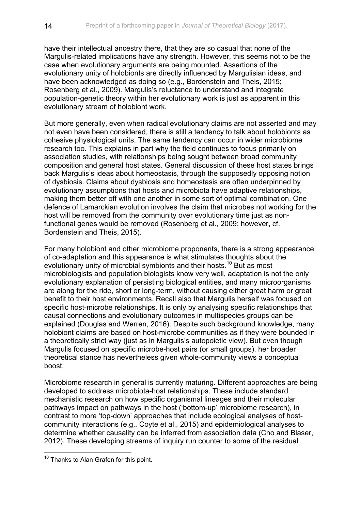have their intellectual ancestry there, that they are so casual that none of the Margulis-related implications have any strength. However, this seems not to be the case when evolutionary arguments are being mounted. Assertions of the evolutionary unity of holobionts are directly influenced by Margulisian ideas, and have been acknowledged as doing so (e.g., Bordenstein and Theis, 2015; Rosenberg et al., 2009). Margulis's reluctance to understand and integrate population-genetic theory within her evolutionary work is just as apparent in this evolutionary stream of holobiont work.

But more generally, even when radical evolutionary claims are not asserted and may not even have been considered, there is still a tendency to talk about holobionts as cohesive physiological units. The same tendency can occur in wider microbiome research too. This explains in part why the field continues to focus primarily on association studies, with relationships being sought between broad community composition and general host states. General discussion of these host states brings back Margulis's ideas about homeostasis, through the supposedly opposing notion of dysbiosis. Claims about dysbiosis and homeostasis are often underpinned by evolutionary assumptions that hosts and microbiota have adaptive relationships, making them better off with one another in some sort of optimal combination. One defence of Lamarckian evolution involves the claim that microbes not working for the host will be removed from the community over evolutionary time just as nonfunctional genes would be removed (Rosenberg et al., 2009; however, cf. Bordenstein and Theis, 2015).

For many holobiont and other microbiome proponents, there is a strong appearance of co-adaptation and this appearance is what stimulates thoughts about the evolutionary unity of microbial symbionts and their hosts.<sup>10</sup> But as most microbiologists and population biologists know very well, adaptation is not the only evolutionary explanation of persisting biological entities, and many microorganisms are along for the ride, short or long-term, without causing either great harm or great benefit to their host environments. Recall also that Margulis herself was focused on specific host-microbe relationships. It is only by analysing specific relationships that causal connections and evolutionary outcomes in multispecies groups can be explained (Douglas and Werren, 2016). Despite such background knowledge, many holobiont claims are based on host-microbe communities as if they were bounded in a theoretically strict way (just as in Margulis's autopoietic view). But even though Margulis focused on specific microbe-host pairs (or small groups), her broader theoretical stance has nevertheless given whole-community views a conceptual boost.

Microbiome research in general is currently maturing. Different approaches are being developed to address microbiota-host relationships. These include standard mechanistic research on how specific organismal lineages and their molecular pathways impact on pathways in the host ('bottom-up' microbiome research), in contrast to more 'top-down' approaches that include ecological analyses of hostcommunity interactions (e.g., Coyte et al., 2015) and epidemiological analyses to determine whether causality can be inferred from association data (Cho and Blaser, 2012). These developing streams of inquiry run counter to some of the residual

<sup>&</sup>lt;sup>10</sup> Thanks to Alan Grafen for this point.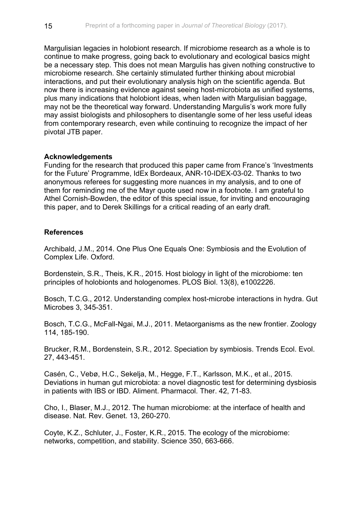Margulisian legacies in holobiont research. If microbiome research as a whole is to continue to make progress, going back to evolutionary and ecological basics might be a necessary step. This does not mean Margulis has given nothing constructive to microbiome research. She certainly stimulated further thinking about microbial interactions, and put their evolutionary analysis high on the scientific agenda. But now there is increasing evidence against seeing host-microbiota as unified systems, plus many indications that holobiont ideas, when laden with Margulisian baggage, may not be the theoretical way forward. Understanding Margulis's work more fully may assist biologists and philosophers to disentangle some of her less useful ideas from contemporary research, even while continuing to recognize the impact of her pivotal JTB paper.

#### **Acknowledgements**

Funding for the research that produced this paper came from France's 'Investments for the Future' Programme, IdEx Bordeaux, ANR-10-IDEX-03-02. Thanks to two anonymous referees for suggesting more nuances in my analysis, and to one of them for reminding me of the Mayr quote used now in a footnote. I am grateful to Athel Cornish-Bowden, the editor of this special issue, for inviting and encouraging this paper, and to Derek Skillings for a critical reading of an early draft.

### **References**

Archibald, J.M., 2014. One Plus One Equals One: Symbiosis and the Evolution of Complex Life. Oxford.

Bordenstein, S.R., Theis, K.R., 2015. Host biology in light of the microbiome: ten principles of holobionts and hologenomes. PLOS Biol. 13(8), e1002226.

Bosch, T.C.G., 2012. Understanding complex host-microbe interactions in hydra. Gut Microbes 3, 345-351.

Bosch, T.C.G., McFall-Ngai, M.J., 2011. Metaorganisms as the new frontier. Zoology 114, 185-190.

Brucker, R.M., Bordenstein, S.R., 2012. Speciation by symbiosis. Trends Ecol. Evol. 27, 443-451.

Casén, C., Vebø, H.C., Sekelja, M., Hegge, F.T., Karlsson, M.K., et al., 2015. Deviations in human gut microbiota: a novel diagnostic test for determining dysbiosis in patients with IBS or IBD. Aliment. Pharmacol. Ther. 42, 71-83.

Cho, I., Blaser, M.J., 2012. The human microbiome: at the interface of health and disease. Nat. Rev. Genet. 13, 260-270.

Coyte, K.Z., Schluter, J., Foster, K.R., 2015. The ecology of the microbiome: networks, competition, and stability. Science 350, 663-666.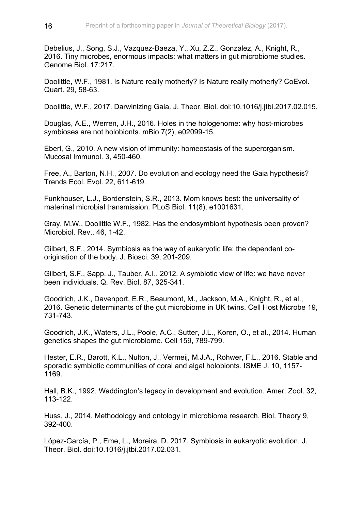Debelius, J., Song, S.J., Vazquez-Baeza, Y., Xu, Z.Z., Gonzalez, A., Knight, R., 2016. Tiny microbes, enormous impacts: what matters in gut microbiome studies. Genome Biol. 17:217.

Doolittle, W.F., 1981. Is Nature really motherly? Is Nature really motherly? CoEvol. Quart. 29, 58-63.

Doolittle, W.F., 2017. Darwinizing Gaia. J. Theor. Biol. doi:10.1016/j.jtbi.2017.02.015.

Douglas, A.E., Werren, J.H., 2016. Holes in the hologenome: why host-microbes symbioses are not holobionts. mBio 7(2), e02099-15.

Eberl, G., 2010. A new vision of immunity: homeostasis of the superorganism. Mucosal Immunol. 3, 450-460.

Free, A., Barton, N.H., 2007. Do evolution and ecology need the Gaia hypothesis? Trends Ecol. Evol. 22, 611-619.

Funkhouser, L.J., Bordenstein, S.R., 2013. Mom knows best: the universality of materinal microbial transmission. PLoS Biol. 11(8), e1001631.

Gray, M.W., Doolittle W.F., 1982. Has the endosymbiont hypothesis been proven? Microbiol. Rev., 46, 1-42.

Gilbert, S.F., 2014. Symbiosis as the way of eukaryotic life: the dependent coorigination of the body. J. Biosci. 39, 201-209.

Gilbert, S.F., Sapp, J., Tauber, A.I., 2012. A symbiotic view of life: we have never been individuals. Q. Rev. Biol. 87, 325-341.

Goodrich, J.K., Davenport, E.R., Beaumont, M., Jackson, M.A., Knight, R., et al., 2016. Genetic determinants of the gut microbiome in UK twins. Cell Host Microbe 19, 731-743.

Goodrich, J.K., Waters, J.L., Poole, A.C., Sutter, J.L., Koren, O., et al., 2014. Human genetics shapes the gut microbiome. Cell 159, 789-799.

Hester, E.R., Barott, K.L., Nulton, J., Vermeij, M.J.A., Rohwer, F.L., 2016. Stable and sporadic symbiotic communities of coral and algal holobionts. ISME J. 10, 1157- 1169.

Hall, B.K., 1992. Waddington's legacy in development and evolution. Amer. Zool. 32, 113-122.

Huss, J., 2014. Methodology and ontology in microbiome research. Biol. Theory 9, 392-400.

López-García, P., Eme, L., Moreira, D. 2017. Symbiosis in eukaryotic evolution. J. Theor. Biol. doi:10.1016/j.jtbi.2017.02.031.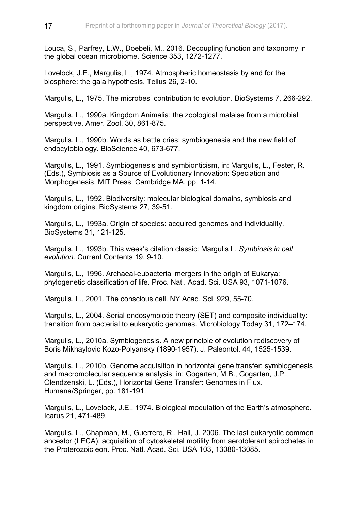Louca, S., Parfrey, L.W., Doebeli, M., 2016. Decoupling function and taxonomy in the global ocean microbiome. Science 353, 1272-1277.

Lovelock, J.E., Margulis, L., 1974. Atmospheric homeostasis by and for the biosphere: the gaia hypothesis. Tellus 26, 2-10.

Margulis, L., 1975. The microbes' contribution to evolution. BioSystems 7, 266-292.

Margulis, L., 1990a. Kingdom Animalia: the zoological malaise from a microbial perspective. Amer. Zool. 30, 861-875.

Margulis, L., 1990b. Words as battle cries: symbiogenesis and the new field of endocytobiology. BioScience 40, 673-677.

Margulis, L., 1991. Symbiogenesis and symbionticism, in: Margulis, L., Fester, R. (Eds.), Symbiosis as a Source of Evolutionary Innovation: Speciation and Morphogenesis. MIT Press, Cambridge MA, pp. 1-14.

Margulis, L., 1992. Biodiversity: molecular biological domains, symbiosis and kingdom origins. BioSystems 27, 39-51.

Margulis, L., 1993a. Origin of species: acquired genomes and individuality. BioSystems 31, 121-125.

Margulis, L., 1993b. This week's citation classic: Margulis L. *Symbiosis in cell evolution*. Current Contents 19, 9-10.

Margulis, L., 1996. Archaeal-eubacterial mergers in the origin of Eukarya: phylogenetic classification of life. Proc. Natl. Acad. Sci. USA 93, 1071-1076.

Margulis, L., 2001. The conscious cell. NY Acad. Sci. 929, 55-70.

Margulis, L., 2004. Serial endosymbiotic theory (SET) and composite individuality: transition from bacterial to eukaryotic genomes. Microbiology Today 31, 172–174.

Margulis, L., 2010a. Symbiogenesis. A new principle of evolution rediscovery of Boris Mikhaylovic Kozo-Polyansky (1890-1957). J. Paleontol. 44, 1525-1539.

Margulis, L., 2010b. Genome acquisition in horizontal gene transfer: symbiogenesis and macromolecular sequence analysis, in: Gogarten, M.B., Gogarten, J.P., Olendzenski, L. (Eds.), Horizontal Gene Transfer: Genomes in Flux. Humana/Springer, pp. 181-191.

Margulis, L., Lovelock, J.E., 1974. Biological modulation of the Earth's atmosphere. Icarus 21, 471-489.

Margulis, L., Chapman, M., Guerrero, R., Hall, J. 2006. The last eukaryotic common ancestor (LECA): acquisition of cytoskeletal motility from aerotolerant spirochetes in the Proterozoic eon. Proc. Natl. Acad. Sci. USA 103, 13080-13085.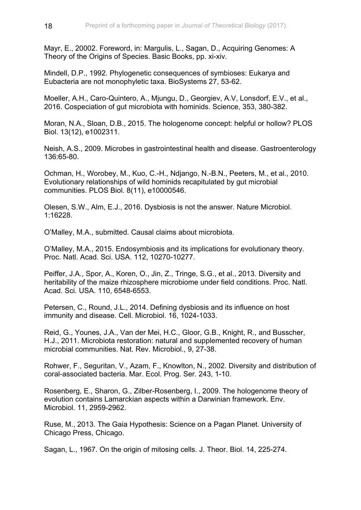Mayr, E., 20002. Foreword, in: Margulis, L., Sagan, D., Acquiring Genomes: A Theory of the Origins of Species. Basic Books, pp. xi-xiv.

Mindell, D.P., 1992. Phylogenetic consequences of symbioses: Eukarya and Eubacteria are not monophyletic taxa. BioSystems 27, 53-62.

Moeller, A.H., Caro-Quintero, A., Mjungu, D., Georgiev, A.V, Lonsdorf, E.V., et al., 2016. Cospeciation of gut microbiota with hominids. Science, 353, 380-382.

Moran, N.A., Sloan, D.B., 2015. The hologenome concept: helpful or hollow? PLOS Biol. 13(12), e1002311.

Neish, A.S., 2009. Microbes in gastrointestinal health and disease. Gastroenterology 136:65-80.

Ochman, H., Worobey, M., Kuo, C.-H., Ndjango, N.-B.N., Peeters, M., et al., 2010. Evolutionary relationships of wild hominids recapitulated by gut microbial communities. PLOS Biol. 8(11), e10000546.

Olesen, S.W., Alm, E.J., 2016. Dysbiosis is not the answer. Nature Microbiol. 1:16228.

O'Malley, M.A., submitted. Causal claims about microbiota.

O'Malley, M.A., 2015. Endosymbiosis and its implications for evolutionary theory. Proc. Natl. Acad. Sci. USA. 112, 10270-10277.

Peiffer, J.A., Spor, A., Koren, O., Jin, Z., Tringe, S.G., et al., 2013. Diversity and heritability of the maize rhizosphere microbiome under field conditions. Proc. Natl. Acad. Sci. USA. 110, 6548-6553.

Petersen, C., Round, J.L., 2014. Defining dysbiosis and its influence on host immunity and disease. Cell. Microbiol. 16, 1024-1033.

Reid, G., Younes, J.A., Van der Mei, H.C., Gloor, G.B., Knight, R., and Busscher, H.J., 2011. Microbiota restoration: natural and supplemented recovery of human microbial communities. Nat. Rev. Microbiol., 9, 27-38.

Rohwer, F., Seguritan, V., Azam, F., Knowlton, N., 2002. Diversity and distribution of coral-associated bacteria. Mar. Ecol. Prog. Ser. 243, 1-10.

Rosenberg, E., Sharon, G., Zilber-Rosenberg, I., 2009. The hologenome theory of evolution contains Lamarckian aspects within a Darwinian framework. Env. Microbiol. 11, 2959-2962.

Ruse, M., 2013. The Gaia Hypothesis: Science on a Pagan Planet. University of Chicago Press, Chicago.

Sagan, L., 1967. On the origin of mitosing cells. J. Theor. Biol. 14, 225-274.